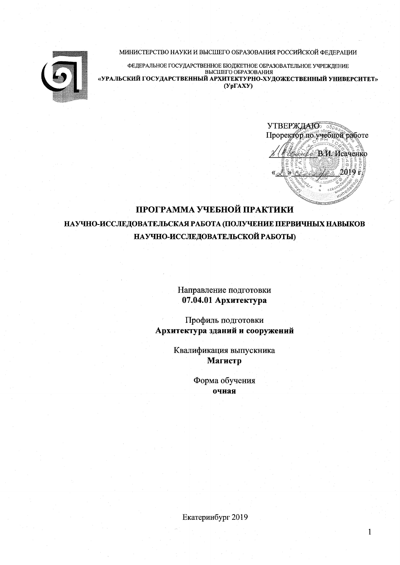МИНИСТЕРСТВО НАУКИ И ВЫСШЕГО ОБРАЗОВАНИЯ РОССИЙСКОЙ ФЕДЕРАЦИИ



ФЕДЕРАЛЬНОЕ ГОСУДАРСТВЕННОЕ БЮДЖЕТНОЕ ОБРАЗОВАТЕЛЬНОЕ УЧРЕЖДЕНИЕ BLICHLIETO OBPA3OBAHUS «УРАЛЬСКИЙ ГОСУДАРСТВЕННЫЙ АРХИТЕКТУРНО-ХУДОЖЕСТВЕННЫЙ УНИВЕРСИТЕТ»  $(Yp\Gamma A XY)$ 

<sup>2</sup> В.И. Исаченко

 $\mathbf{1}$ 

# ПРОГРАММА УЧЕБНОЙ ПРАКТИКИ

НАУЧНО-ИССЛЕДОВАТЕЛЬСКАЯ РАБОТА (ПОЛУЧЕНИЕ ПЕРВИЧНЫХ НАВЫКОВ НАУЧНО-ИССЛЕДОВАТЕЛЬСКОЙ РАБОТЫ)

> Направление подготовки 07.04.01 Архитектура

Профиль подготовки Архитектура зданий и сооружений

> Квалификация выпускника Магистр

> > Форма обучения очная

Екатеринбург 2019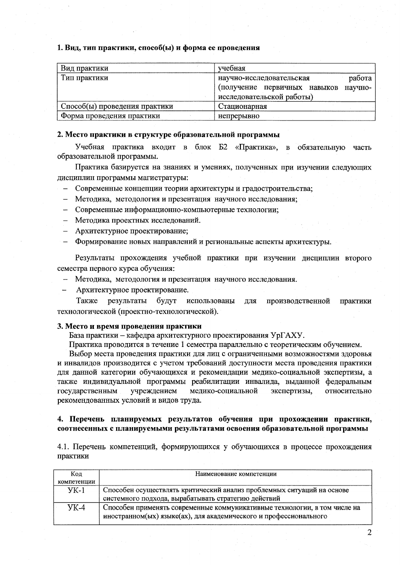#### 1. Вид, тип практики, способ(ы) и форма ее проведения

| Вид практики                  | учебная                                 |
|-------------------------------|-----------------------------------------|
| Тип практики                  | работа<br>научно-исследовательская      |
|                               | (получение первичных навыков<br>научно- |
|                               | исследовательской работы)               |
| Способ(ы) проведения практики | Стационарная                            |
| Форма проведения практики     | непрерывно                              |

#### 2. Место практики в структуре образовательной программы

Учебная практика входит в блок Б2 «Практика», в обязательную часть образовательной программы.

Практика базируется на знаниях и умениях, полученных при изучении следующих дисциплин программы магистратуры:

- Современные концепции теории архитектуры и градостроительства;
- Методика, методология и презентация научного исследования;
- Современные информационно-компьютерные технологии;
- Методика проектных исследований.
- Архитектурное проектирование;
- Формирование новых направлений и региональные аспекты архитектуры.

Результаты прохождения учебной практики при изучении дисциплин второго семестра первого курса обучения:

- Методика, методология и презентация научного исследования.
- Архитектурное проектирование.

Также результаты будут использованы для производственной практики технологической (проектно-технологической).

#### 3. Место и время проведения практики

База практики - кафедра архитектурного проектирования УрГАХУ.

Практика проводится в течение 1 семестра параллельно с теоретическим обучением.

Выбор места проведения практики для лиц с ограниченными возможностями здоровья и инвалидов производится с учетом требований доступности места проведения практики для данной категории обучающихся и рекомендации медико-социальной экспертизы, а также индивидуальной программы реабилитации инвалида, выданной федеральным медико-социальной государственным үчреждением экспертизы, относительно рекомендованных условий и видов труда.

#### 4. Перечень планируемых результатов обучения при прохождении практики, соотнесенных с планируемыми результатами освоения образовательной программы

4.1. Перечень компетенций, формирующихся у обучающихся в процессе прохождения практики

| Код         | Наименование компетенции                                                                                                                       |  |  |  |
|-------------|------------------------------------------------------------------------------------------------------------------------------------------------|--|--|--|
| компетенции |                                                                                                                                                |  |  |  |
| $YK-1$      | Способен осуществлять критический анализ проблемных ситуаций на основе<br>системного подхода, вырабатывать стратегию действий                  |  |  |  |
| <b>YK-4</b> | Способен применять современные коммуникативные технологии, в том числе на<br>иностранном(ых) языке(ах), для академического и профессионального |  |  |  |

2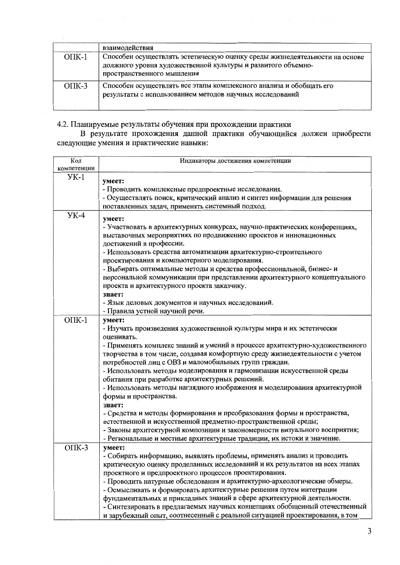|          | взаимодействия                                                                                                                                                            |
|----------|---------------------------------------------------------------------------------------------------------------------------------------------------------------------------|
| $OIIK-1$ | Способен осуществлять эстетическую оценку среды жизнедеятельности на основе<br>должного уровня художественной культуры и развитого объемно-<br>пространственного мышления |
| $OIIK-3$ | Способен осуществлять все этапы комплексного анализа и обобщать его<br>результаты с использованием методов научных исследований                                           |

4.2. Планируемые результаты обучения при прохождении практики<br>В результате прохождения данной практики обучающийся должен приобрести<br>следующие умения и практические навыки:

| Код<br>компетенции | Индикаторы достижения компетенции                                            |
|--------------------|------------------------------------------------------------------------------|
| $YK-1$             |                                                                              |
|                    | умеет:                                                                       |
|                    | - Проводить комплексные предпроектные исследования.                          |
|                    | - Осуществлять поиск, критический анализ и синтез информации для решения     |
|                    | поставленных задач, применять системный подход.                              |
| $YK-4$             |                                                                              |
|                    | умеет:                                                                       |
|                    | - Участвовать в архитектурных конкурсах, научно-практических конференциях,   |
|                    | выставочных мероприятиях по продвижению проектов и инновационных             |
|                    | достижений в профессии.                                                      |
|                    | - Использовать средства автоматизации архитектурно-строительного             |
|                    | проектирования и компьютерного моделирования.                                |
|                    | - Выбирать оптимальные методы и средства профессиональной, бизнес- и         |
|                    | персональной коммуникации при представлении архитектурного концептуального   |
|                    | проекта и архитектурного проекта заказчику.                                  |
|                    | знает:                                                                       |
|                    | - Язык деловых документов и научных исследований.                            |
|                    | - Правила устной научной речи.                                               |
|                    |                                                                              |
| $OIIK-1$           | умеет:                                                                       |
|                    | - Изучать произведения художественной культуры мира и их эстетически         |
|                    | оценивать.                                                                   |
|                    | - Применять комплекс знаний и умений в процессе архитектурно-художественного |
|                    | творчества в том числе, создавая комфортную среду жизнедеятельности с учетом |
|                    | потребностей лиц с ОВЗ и маломобильных групп граждан.                        |
|                    | - Использовать методы моделирования и гармонизации искусственной среды       |
|                    | обитания при разработке архитектурных решений.                               |
|                    | - Использовать методы наглядного изображения и моделирования архитектурной   |
|                    | формы и пространства.                                                        |
|                    | знает:                                                                       |
|                    | - Средства и методы формирования и преобразования формы и пространства,      |
|                    | естественной и искусственной предметно-пространственной среды;               |
|                    | - Законы архитектурной композиции и закономерности визуального восприятия;   |
|                    | - Региональные и местные архитектурные традиции, их истоки и значение.       |
|                    |                                                                              |
| $OIIK-3$           | умеет:                                                                       |
|                    | - Собирать информацию, выявлять проблемы, применять анализ и проводить       |
|                    | критическую оценку проделанных исследований и их результатов на всех этапах  |
|                    | проектного и предпроектного процессов проектирования.                        |
|                    | - Проводить натурные обследования и архитектурно-археологические обмеры.     |
|                    | - Осмысливать и формировать архитектурные решения путем интеграции           |
|                    | фундаментальных и прикладных знаний в сфере архитектурной деятельности.      |
|                    | - Синтезировать в предлагаемых научных концепциях обобщенный отечественный   |
|                    | и зарубежный опыт, соотнесенный с реальной ситуацией проектирования, в том   |
|                    |                                                                              |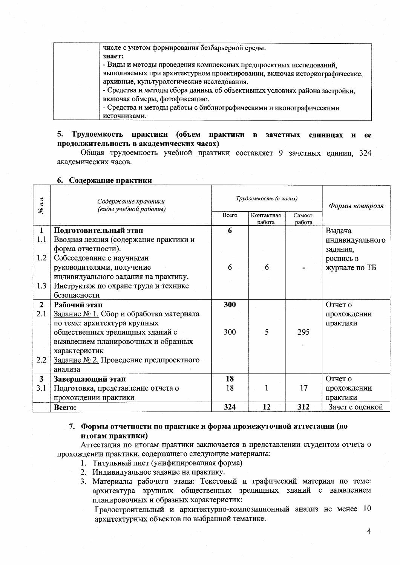числе с учетом формирования безбарьерной среды. знает:

- Виды и методы проведения комплексных предпроектных исследований, выполняемых при архитектурном проектировании, включая историографические.

архивные, культурологические исследования.

- Средства и методы сбора данных об объективных условиях района застройки, включая обмеры, фотофиксацию.

- Средства и методы работы с библиографическими и иконографическими источниками.

#### 5. Трудоемкость практики (объем практики в зачетных единицах и ee продолжительность в академических часах)

Общая трудоемкость учебной практики составляет 9 зачетных единиц, 324 академических часов.

#### 6. Содержание практики

| $N_{2}$ $n.n$ . | Содержание практики<br>(виды учебной работы) |       | Трудоемкость (в часах) | Формы контроля    |                 |
|-----------------|----------------------------------------------|-------|------------------------|-------------------|-----------------|
|                 |                                              | Bcero | Контактная<br>работа   | Самост.<br>работа |                 |
| $\mathbf{1}$    | Подготовительный этап                        | 6     |                        |                   | Выдача          |
| 1.1             | Вводная лекция (содержание практики и        |       |                        |                   | индивидуального |
|                 | форма отчетности).                           |       |                        |                   | задания,        |
| 1.2             | Собеседование с научными                     |       |                        |                   | роспись в       |
|                 | руководителями, получение                    | 6     | 6                      |                   | журнале по ТБ   |
|                 | индивидуального задания на практику,         |       |                        |                   |                 |
| 1.3             | Инструктаж по охране труда и технике         |       |                        |                   |                 |
|                 | безопасности                                 |       |                        |                   |                 |
| $\overline{2}$  | Рабочий этап                                 | 300   |                        |                   | Отчет о         |
| 2.1             | Задание № 1. Сбор и обработка материала      |       |                        |                   | прохождении     |
|                 | по теме: архитектура крупных                 |       |                        |                   | практики        |
|                 | общественных зрелищных зданий с              | 300   | 5                      | 295               |                 |
|                 | выявлением планировочных и образных          |       |                        |                   |                 |
|                 | характеристик                                |       |                        |                   |                 |
| 2.2             | Задание № 2. Проведение предпроектного       |       |                        |                   |                 |
|                 | анализа                                      |       |                        |                   |                 |
| $\mathbf{3}$    | Завершающий этап                             | 18    |                        |                   | Отчет о         |
| 3.1             | Подготовка, представление отчета о           | 18    |                        | 17                | прохождении     |
|                 | прохождении практики                         |       |                        |                   | практики        |
|                 | Всего:                                       | 324   | 12                     | 312               | Зачет с оценкой |

## 7. Формы отчетности по практике и форма промежуточной аттестации (по итогам практики)

Аттестация по итогам практики заключается в представлении студентом отчета о прохождении практики, содержащего следующие материалы:

- 1. Титульный лист (унифицированная форма)
- 2. Индивидуальное задание на практику.
- 3. Материалы рабочего этапа: Текстовый и графический материал по теме: архитектура крупных общественных зрелищных зданий с выявлением планировочных и образных характеристик:

Градостроительный и архитектурно-композиционный анализ не менее 10 архитектурных объектов по выбранной тематике.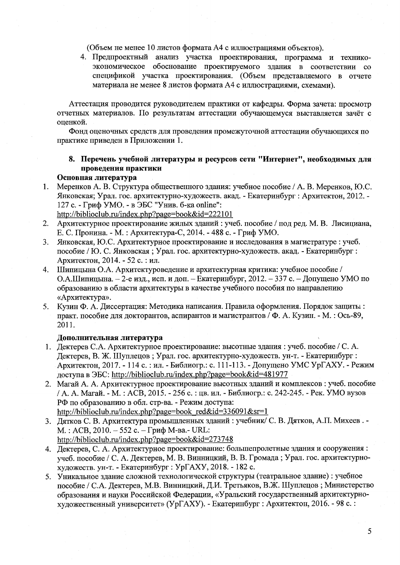(Объем не менее 10 листов формата А4 с иллюстрациями объектов).

4. Предпроектный анализ участка проектирования, программа и техникоэкономическое обоснование проектируемого здания в соответствии со спецификой участка проектирования. (Объем представляемого в отчете материала не менее 8 листов формата А4 с иллюстрациями, схемами).

Аттестация проводится руководителем практики от кафедры. Форма зачета: просмотр отчетных материалов. По результатам аттестации обучающемуся выставляется зачёт с оценкой.

Фонд оценочных средств для проведения промежуточной аттестации обучающихся по практике приведен в Приложении 1.

### 8. Перечень учебной литературы и ресурсов сети "Интернет", необходимых для проведения практики

#### Основная литература

Меренков А. В. Структура общественного здания: учебное пособие / А. В. Меренков, Ю.С.  $1.$ Янковская; Урал. гос. архитектурно-художеств. акад. - Екатеринбург : Архитектон, 2012. -127 с. - Гриф УМО. - в ЭБС "Унив. б-ка online":

http://biblioclub.ru/index.php?page=book&id=222101

- Архитектурное проектирование жилых зданий: учеб. пособие / под ред. М. В. Лисициана,  $2.$ Е. С. Пронина. - М. : Архитектура-С, 2014. - 488 с. - Гриф УМО.
- 3. Янковская, Ю.С. Архитектурное проектирование и исследования в магистратуре : учеб. пособие / Ю. С. Янковская; Урал. гос. архитектурно-художеств. акад. - Екатеринбург: Архитектон, 2014. - 52 с. : ил.
- Шипицына О.А. Архитектуроведение и архитектурная критика: учебное пособие / 4. О.А.Шипицына. - 2-е изд., исп. и доп. - Екатеринбург, 2012. - 337 с. - Допущено УМО по образованию в области архитектуры в качестве учебного пособия по направлению «Архитектура».
- Кузин Ф. А. Диссертация: Методика написания. Правила оформления. Порядок защиты: 5. практ. пособие для докторантов, аспирантов и магистрантов / Ф. А. Кузин. - М.: Ось-89, 2011.

#### Дополнительная литература

- 1. Дектерев С.А. Архитектурное проектирование: высотные здания: учеб. пособие / С.А. Дектерев, В. Ж. Шуплецов; Урал. гос. архитектурно-художеств. ун-т. - Екатеринбург: Архитектон, 2017. - 114 с. : ил. - Библиогр.: с. 111-113. - Допущено УМС УрГАХУ. - Режим доступа в ЭБС: http://biblioclub.ru/index.php?page=book&id=481977
- 2. Магай А. А. Архитектурное проектирование высотных зданий и комплексов: учеб. пособие / А. А. Магай. - М.: АСВ, 2015. - 256 с.: цв. ил. - Библиогр.: с. 242-245. - Рек. УМО вузов РФ по образованию в обл. стр-ва. - Режим доступа: http://biblioclub.ru/index.php?page=book red&id=336091&sr=1
- 3. Дятков С. В. Архитектура промышленных зданий: учебник/ С. В. Дятков, А.П. Михеев. -М.: АСВ, 2010. - 552 с. - Гриф М-ва.- URL: http://biblioclub.ru/index.php?page=book&id=273748
- 4. Дектерев, С. А. Архитектурное проектирование: большепролетные здания и сооружения: учеб. пособие / С. А. Дектерев, М. В. Винницкий, В. В. Громада; Урал. гос. архитектурнохудожеств. ун-т. - Екатеринбург : УрГАХУ, 2018. - 182 с.
- 5. Уникальное здание сложной технологической структуры (театральное здание) : учебное пособие / С.А. Дектерев, М.В. Винницкий, Д.И. Третьяков, В.Ж. Шуплецов; Министерство образования и науки Российской Федерации, «Уральский государственный архитектурнохудожественный университет» (УрГАХУ). - Екатеринбург : Архитектон, 2016. - 98 с. :